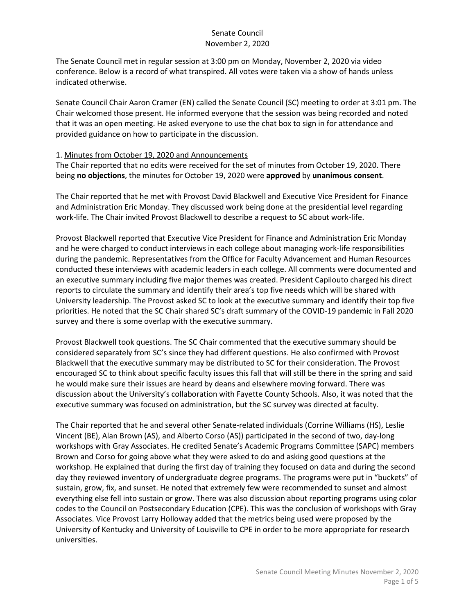The Senate Council met in regular session at 3:00 pm on Monday, November 2, 2020 via video conference. Below is a record of what transpired. All votes were taken via a show of hands unless indicated otherwise.

Senate Council Chair Aaron Cramer (EN) called the Senate Council (SC) meeting to order at 3:01 pm. The Chair welcomed those present. He informed everyone that the session was being recorded and noted that it was an open meeting. He asked everyone to use the chat box to sign in for attendance and provided guidance on how to participate in the discussion.

#### 1. Minutes from October 19, 2020 and Announcements

The Chair reported that no edits were received for the set of minutes from October 19, 2020. There being **no objections**, the minutes for October 19, 2020 were **approved** by **unanimous consent**.

The Chair reported that he met with Provost David Blackwell and Executive Vice President for Finance and Administration Eric Monday. They discussed work being done at the presidential level regarding work-life. The Chair invited Provost Blackwell to describe a request to SC about work-life.

Provost Blackwell reported that Executive Vice President for Finance and Administration Eric Monday and he were charged to conduct interviews in each college about managing work-life responsibilities during the pandemic. Representatives from the Office for Faculty Advancement and Human Resources conducted these interviews with academic leaders in each college. All comments were documented and an executive summary including five major themes was created. President Capilouto charged his direct reports to circulate the summary and identify their area's top five needs which will be shared with University leadership. The Provost asked SC to look at the executive summary and identify their top five priorities. He noted that the SC Chair shared SC's draft summary of the COVID-19 pandemic in Fall 2020 survey and there is some overlap with the executive summary.

Provost Blackwell took questions. The SC Chair commented that the executive summary should be considered separately from SC's since they had different questions. He also confirmed with Provost Blackwell that the executive summary may be distributed to SC for their consideration. The Provost encouraged SC to think about specific faculty issues this fall that will still be there in the spring and said he would make sure their issues are heard by deans and elsewhere moving forward. There was discussion about the University's collaboration with Fayette County Schools. Also, it was noted that the executive summary was focused on administration, but the SC survey was directed at faculty.

The Chair reported that he and several other Senate-related individuals (Corrine Williams (HS), Leslie Vincent (BE), Alan Brown (AS), and Alberto Corso (AS)) participated in the second of two, day-long workshops with Gray Associates. He credited Senate's Academic Programs Committee (SAPC) members Brown and Corso for going above what they were asked to do and asking good questions at the workshop. He explained that during the first day of training they focused on data and during the second day they reviewed inventory of undergraduate degree programs. The programs were put in "buckets" of sustain, grow, fix, and sunset. He noted that extremely few were recommended to sunset and almost everything else fell into sustain or grow. There was also discussion about reporting programs using color codes to the Council on Postsecondary Education (CPE). This was the conclusion of workshops with Gray Associates. Vice Provost Larry Holloway added that the metrics being used were proposed by the University of Kentucky and University of Louisville to CPE in order to be more appropriate for research universities.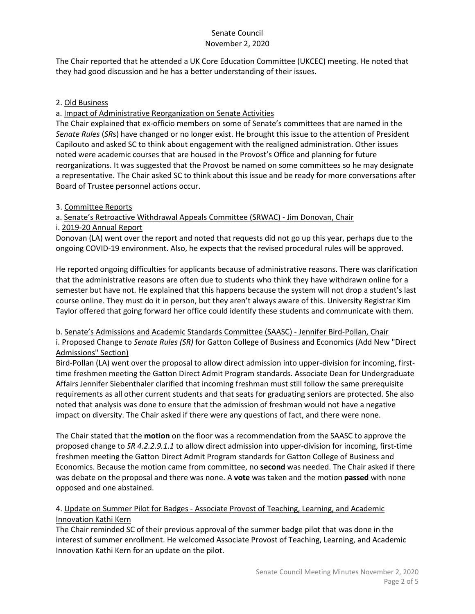The Chair reported that he attended a UK Core Education Committee (UKCEC) meeting. He noted that they had good discussion and he has a better understanding of their issues.

## 2. Old Business

# a. Impact of Administrative Reorganization on Senate Activities

The Chair explained that ex-officio members on some of Senate's committees that are named in the *Senate Rules* (*SR*s) have changed or no longer exist. He brought this issue to the attention of President Capilouto and asked SC to think about engagement with the realigned administration. Other issues noted were academic courses that are housed in the Provost's Office and planning for future reorganizations. It was suggested that the Provost be named on some committees so he may designate a representative. The Chair asked SC to think about this issue and be ready for more conversations after Board of Trustee personnel actions occur.

## 3. Committee Reports

# a. Senate's Retroactive Withdrawal Appeals Committee (SRWAC) - Jim Donovan, Chair

## i. 2019-20 Annual Report

Donovan (LA) went over the report and noted that requests did not go up this year, perhaps due to the ongoing COVID-19 environment. Also, he expects that the revised procedural rules will be approved.

He reported ongoing difficulties for applicants because of administrative reasons. There was clarification that the administrative reasons are often due to students who think they have withdrawn online for a semester but have not. He explained that this happens because the system will not drop a student's last course online. They must do it in person, but they aren't always aware of this. University Registrar Kim Taylor offered that going forward her office could identify these students and communicate with them.

### b. Senate's Admissions and Academic Standards Committee (SAASC) - Jennifer Bird-Pollan, Chair i. Proposed Change to *Senate Rules (SR)* for Gatton College of Business and Economics (Add New "Direct Admissions" Section)

Bird-Pollan (LA) went over the proposal to allow direct admission into upper-division for incoming, firsttime freshmen meeting the Gatton Direct Admit Program standards. Associate Dean for Undergraduate Affairs Jennifer Siebenthaler clarified that incoming freshman must still follow the same prerequisite requirements as all other current students and that seats for graduating seniors are protected. She also noted that analysis was done to ensure that the admission of freshman would not have a negative impact on diversity. The Chair asked if there were any questions of fact, and there were none.

The Chair stated that the **motion** on the floor was a recommendation from the SAASC to approve the proposed change to *SR 4.2.2.9.1.1* to allow direct admission into upper-division for incoming, first-time freshmen meeting the Gatton Direct Admit Program standards for Gatton College of Business and Economics. Because the motion came from committee, no **second** was needed. The Chair asked if there was debate on the proposal and there was none. A **vote** was taken and the motion **passed** with none opposed and one abstained.

# 4. Update on Summer Pilot for Badges - Associate Provost of Teaching, Learning, and Academic Innovation Kathi Kern

The Chair reminded SC of their previous approval of the summer badge pilot that was done in the interest of summer enrollment. He welcomed Associate Provost of Teaching, Learning, and Academic Innovation Kathi Kern for an update on the pilot.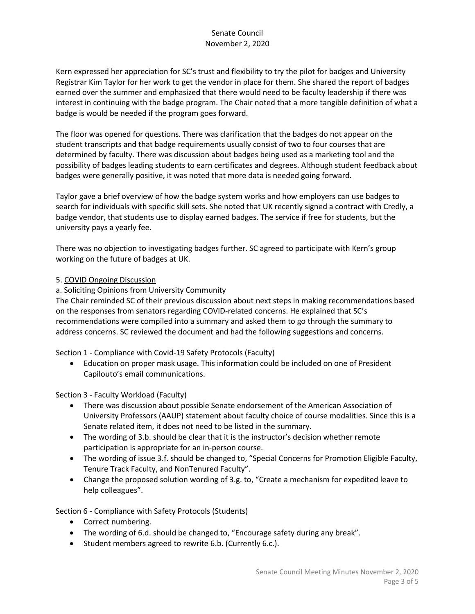Kern expressed her appreciation for SC's trust and flexibility to try the pilot for badges and University Registrar Kim Taylor for her work to get the vendor in place for them. She shared the report of badges earned over the summer and emphasized that there would need to be faculty leadership if there was interest in continuing with the badge program. The Chair noted that a more tangible definition of what a badge is would be needed if the program goes forward.

The floor was opened for questions. There was clarification that the badges do not appear on the student transcripts and that badge requirements usually consist of two to four courses that are determined by faculty. There was discussion about badges being used as a marketing tool and the possibility of badges leading students to earn certificates and degrees. Although student feedback about badges were generally positive, it was noted that more data is needed going forward.

Taylor gave a brief overview of how the badge system works and how employers can use badges to search for individuals with specific skill sets. She noted that UK recently signed a contract with Credly, a badge vendor, that students use to display earned badges. The service if free for students, but the university pays a yearly fee.

There was no objection to investigating badges further. SC agreed to participate with Kern's group working on the future of badges at UK.

## 5. COVID Ongoing Discussion

### a. Soliciting Opinions from University Community

The Chair reminded SC of their previous discussion about next steps in making recommendations based on the responses from senators regarding COVID-related concerns. He explained that SC's recommendations were compiled into a summary and asked them to go through the summary to address concerns. SC reviewed the document and had the following suggestions and concerns.

Section 1 - Compliance with Covid-19 Safety Protocols (Faculty)

• Education on proper mask usage. This information could be included on one of President Capilouto's email communications.

Section 3 - Faculty Workload (Faculty)

- There was discussion about possible Senate endorsement of the American Association of University Professors (AAUP) statement about faculty choice of course modalities. Since this is a Senate related item, it does not need to be listed in the summary.
- The wording of 3.b. should be clear that it is the instructor's decision whether remote participation is appropriate for an in-person course.
- The wording of issue 3.f. should be changed to, "Special Concerns for Promotion Eligible Faculty, Tenure Track Faculty, and NonTenured Faculty".
- Change the proposed solution wording of 3.g. to, "Create a mechanism for expedited leave to help colleagues".

Section 6 - Compliance with Safety Protocols (Students)

- Correct numbering.
- The wording of 6.d. should be changed to, "Encourage safety during any break".
- Student members agreed to rewrite 6.b. (Currently 6.c.).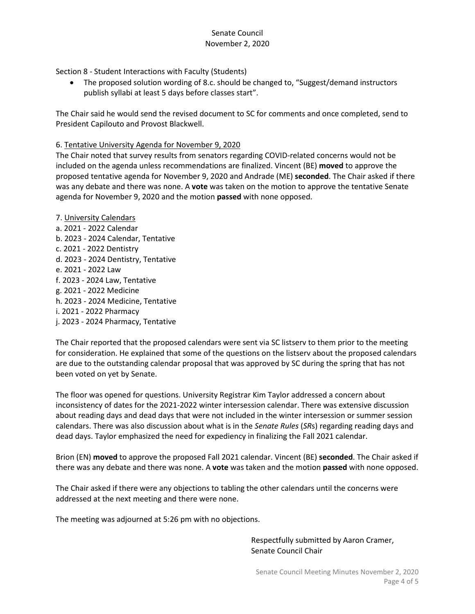Section 8 - Student Interactions with Faculty (Students)

• The proposed solution wording of 8.c. should be changed to, "Suggest/demand instructors" publish syllabi at least 5 days before classes start".

The Chair said he would send the revised document to SC for comments and once completed, send to President Capilouto and Provost Blackwell.

### 6. Tentative University Agenda for November 9, 2020

The Chair noted that survey results from senators regarding COVID-related concerns would not be included on the agenda unless recommendations are finalized. Vincent (BE) **moved** to approve the proposed tentative agenda for November 9, 2020 and Andrade (ME) **seconded**. The Chair asked if there was any debate and there was none. A **vote** was taken on the motion to approve the tentative Senate agenda for November 9, 2020 and the motion **passed** with none opposed.

7. University Calendars a. 2021 - 2022 Calendar b. 2023 - 2024 Calendar, Tentative c. 2021 - 2022 Dentistry d. 2023 - 2024 Dentistry, Tentative e. 2021 - 2022 Law f. 2023 - 2024 Law, Tentative g. 2021 - 2022 Medicine h. 2023 - 2024 Medicine, Tentative i. 2021 - 2022 Pharmacy j. 2023 - 2024 Pharmacy, Tentative

The Chair reported that the proposed calendars were sent via SC listserv to them prior to the meeting for consideration. He explained that some of the questions on the listserv about the proposed calendars are due to the outstanding calendar proposal that was approved by SC during the spring that has not been voted on yet by Senate.

The floor was opened for questions. University Registrar Kim Taylor addressed a concern about inconsistency of dates for the 2021-2022 winter intersession calendar. There was extensive discussion about reading days and dead days that were not included in the winter intersession or summer session calendars. There was also discussion about what is in the *Senate Rules* (*SR*s) regarding reading days and dead days. Taylor emphasized the need for expediency in finalizing the Fall 2021 calendar.

Brion (EN) **moved** to approve the proposed Fall 2021 calendar. Vincent (BE) **seconded**. The Chair asked if there was any debate and there was none. A **vote** was taken and the motion **passed** with none opposed.

The Chair asked if there were any objections to tabling the other calendars until the concerns were addressed at the next meeting and there were none.

The meeting was adjourned at 5:26 pm with no objections.

Respectfully submitted by Aaron Cramer, Senate Council Chair